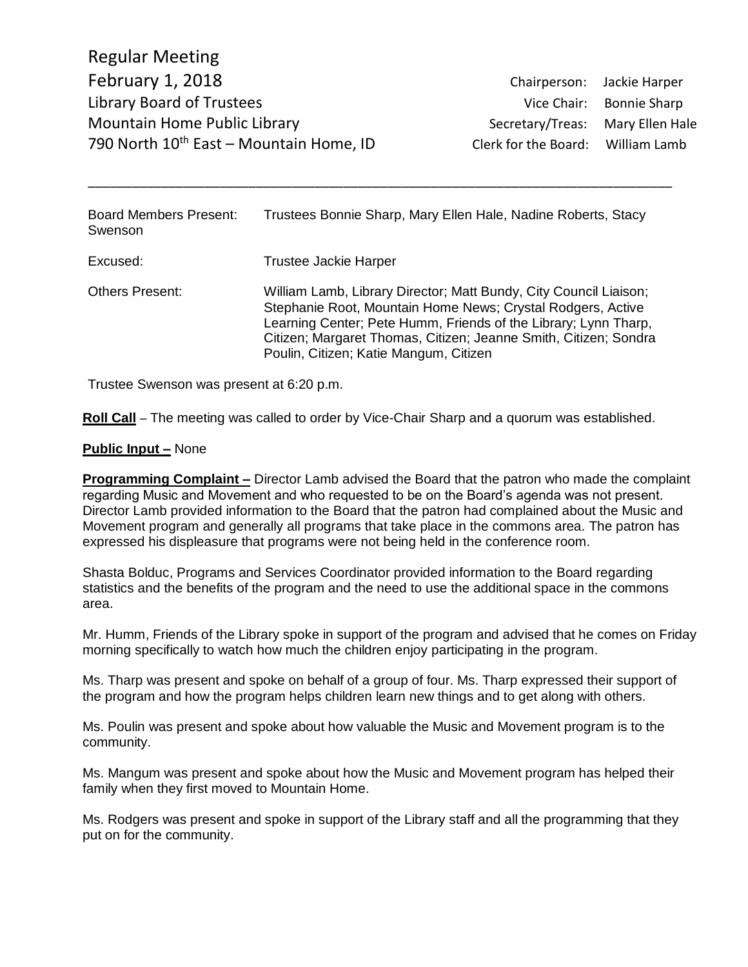| <b>Board Members Present:</b><br>Swenson | Trustees Bonnie Sharp, Mary Ellen Hale, Nadine Roberts, Stacy                                                                                                                                                                                                                                                     |
|------------------------------------------|-------------------------------------------------------------------------------------------------------------------------------------------------------------------------------------------------------------------------------------------------------------------------------------------------------------------|
| Excused:                                 | Trustee Jackie Harper                                                                                                                                                                                                                                                                                             |
| <b>Others Present:</b>                   | William Lamb, Library Director; Matt Bundy, City Council Liaison;<br>Stephanie Root, Mountain Home News; Crystal Rodgers, Active<br>Learning Center; Pete Humm, Friends of the Library; Lynn Tharp,<br>Citizen; Margaret Thomas, Citizen; Jeanne Smith, Citizen; Sondra<br>Poulin, Citizen; Katie Mangum, Citizen |

\_\_\_\_\_\_\_\_\_\_\_\_\_\_\_\_\_\_\_\_\_\_\_\_\_\_\_\_\_\_\_\_\_\_\_\_\_\_\_\_\_\_\_\_\_\_\_\_\_\_\_\_\_\_\_\_\_\_\_\_\_\_\_\_\_\_\_\_\_\_\_\_\_\_\_\_\_\_\_\_

Trustee Swenson was present at 6:20 p.m.

**Roll Call** – The meeting was called to order by Vice-Chair Sharp and a quorum was established.

### **Public Input –** None

**Programming Complaint –** Director Lamb advised the Board that the patron who made the complaint regarding Music and Movement and who requested to be on the Board's agenda was not present. Director Lamb provided information to the Board that the patron had complained about the Music and Movement program and generally all programs that take place in the commons area. The patron has expressed his displeasure that programs were not being held in the conference room.

Shasta Bolduc, Programs and Services Coordinator provided information to the Board regarding statistics and the benefits of the program and the need to use the additional space in the commons area.

Mr. Humm, Friends of the Library spoke in support of the program and advised that he comes on Friday morning specifically to watch how much the children enjoy participating in the program.

Ms. Tharp was present and spoke on behalf of a group of four. Ms. Tharp expressed their support of the program and how the program helps children learn new things and to get along with others.

Ms. Poulin was present and spoke about how valuable the Music and Movement program is to the community.

Ms. Mangum was present and spoke about how the Music and Movement program has helped their family when they first moved to Mountain Home.

Ms. Rodgers was present and spoke in support of the Library staff and all the programming that they put on for the community.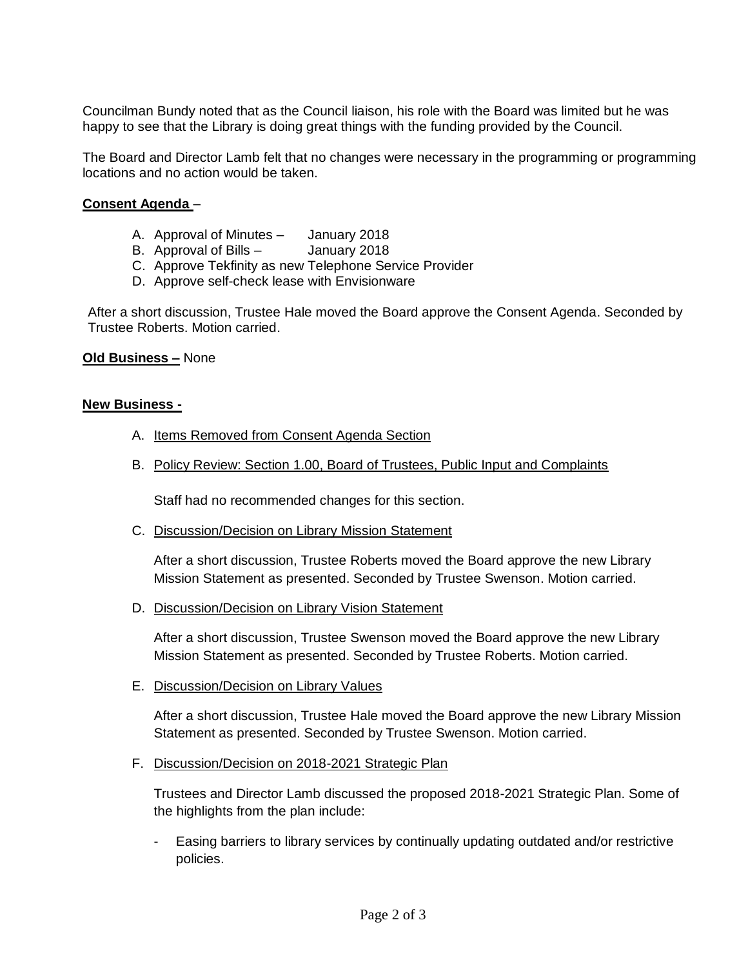Councilman Bundy noted that as the Council liaison, his role with the Board was limited but he was happy to see that the Library is doing great things with the funding provided by the Council.

The Board and Director Lamb felt that no changes were necessary in the programming or programming locations and no action would be taken.

## **Consent Agenda** –

- A. Approval of Minutes January 2018
- B. Approval of Bills January 2018
- C. Approve Tekfinity as new Telephone Service Provider
- D. Approve self-check lease with Envisionware

After a short discussion, Trustee Hale moved the Board approve the Consent Agenda. Seconded by Trustee Roberts. Motion carried.

## **Old Business –** None

### **New Business -**

- A. Items Removed from Consent Agenda Section
- B. Policy Review: Section 1.00, Board of Trustees, Public Input and Complaints

Staff had no recommended changes for this section.

C. Discussion/Decision on Library Mission Statement

After a short discussion, Trustee Roberts moved the Board approve the new Library Mission Statement as presented. Seconded by Trustee Swenson. Motion carried.

D. Discussion/Decision on Library Vision Statement

After a short discussion, Trustee Swenson moved the Board approve the new Library Mission Statement as presented. Seconded by Trustee Roberts. Motion carried.

E. Discussion/Decision on Library Values

After a short discussion, Trustee Hale moved the Board approve the new Library Mission Statement as presented. Seconded by Trustee Swenson. Motion carried.

F. Discussion/Decision on 2018-2021 Strategic Plan

Trustees and Director Lamb discussed the proposed 2018-2021 Strategic Plan. Some of the highlights from the plan include:

- Easing barriers to library services by continually updating outdated and/or restrictive policies.